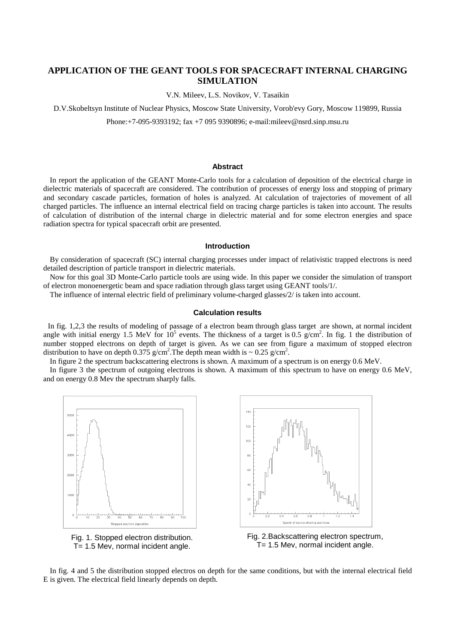# **APPLICATION OF THE GEANT TOOLS FOR SPACECRAFT INTERNAL CHARGING SIMULATION**

V.N. Mileev, L.S. Novikov, V. Tasaikin

D.V.Skobeltsyn Institute of Nuclear Physics, Moscow State University, Vorob'evy Gory, Moscow 119899, Russia

Phone:+7-095-9393192; fax +7 095 9390896; e-mail:mileev@nsrd.sinp.msu.ru

### **Abstract**

In report the application of the GEANT Monte-Carlo tools for a calculation of deposition of the electrical charge in dielectric materials of spacecraft are considered. The contribution of processes of energy loss and stopping of primary and secondary cascade particles, formation of holes is analyzed. At calculation of trajectories of movement of all charged particles. The influence an internal electrical field on tracing charge particles is taken into account. The results of calculation of distribution of the internal charge in dielectric material and for some electron energies and space radiation spectra for typical spacecraft orbit are presented.

## **Introduction**

By consideration of spacecraft (SC) internal charging processes under impact of relativistic trapped electrons is need detailed description of particle transport in dielectric materials.

Now for this goal 3D Monte-Carlo particle tools are using wide. In this paper we consider the simulation of transport of electron monoenergetic beam and space radiation through glass target using GEANT tools/1/.

The influence of internal electric field of preliminary volume-charged glasses/2/ is taken into account.

### **Calculation results**

In fig. 1,2,3 the results of modeling of passage of a electron beam through glass target are shown, at normal incident angle with initial energy 1.5 MeV for  $10^5$  events. The thickness of a target is 0.5 g/cm<sup>2</sup>. In fig. 1 the distribution of number stopped electrons on depth of target is given. As we can see from figure a maximum of stopped electron distribution to have on depth 0.375 g/cm<sup>2</sup>. The depth mean width is ~ 0.25 g/cm<sup>2</sup>.

In figure 2 the spectrum backscattering electrons is shown. A maximum of a spectrum is on energy 0.6 MeV.

In figure 3 the spectrum of outgoing electrons is shown. A maximum of this spectrum to have on energy 0.6 MeV, and on energy 0.8 Mev the spectrum sharply falls.



T= 1.5 Mev, normal incident angle. T= 1.5 Mev, normal incident angle.

In fig. 4 and 5 the distribution stopped electros on depth for the same conditions, but with the internal electrical field E is given. The electrical field linearly depends on depth.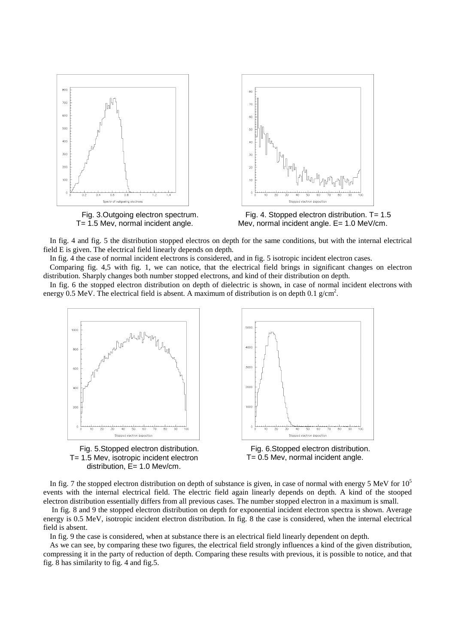

T= 1.5 Mev, normal incident angle.



In fig. 4 and fig. 5 the distribution stopped electros on depth for the same conditions, but with the internal electrical field E is given. The electrical field linearly depends on depth.

In fig. 4 the case of normal incident electrons is considered, and in fig. 5 isotropic incident electron cases.

Comparing fig. 4,5 with fig. 1, we can notice, that the electrical field brings in significant changes on electron distribution. Sharply changes both number stopped electrons, and kind of their distribution on depth.

In fig. 6 the stopped electron distribution on depth of dielectric is shown, in case of normal incident electrons with energy 0.5 MeV. The electrical field is absent. A maximum of distribution is on depth 0.1 g/cm<sup>2</sup>.



In fig. 7 the stopped electron distribution on depth of substance is given, in case of normal with energy 5 MeV for  $10<sup>5</sup>$ events with the internal electrical field. The electric field again linearly depends on depth. A kind of the stooped electron distribution essentially differs from all previous cases. The number stopped electron in a maximum is small.

 In fig. 8 and 9 the stopped electron distribution on depth for exponential incident electron spectra is shown. Average energy is 0.5 MeV, isotropic incident electron distribution. In fig. 8 the case is considered, when the internal electrical field is absent.

In fig. 9 the case is considered, when at substance there is an electrical field linearly dependent on depth.

As we can see, by comparing these two figures, the electrical field strongly influences a kind of the given distribution, compressing it in the party of reduction of depth. Comparing these results with previous, it is possible to notice, and that fig. 8 has similarity to fig. 4 and fig.5.